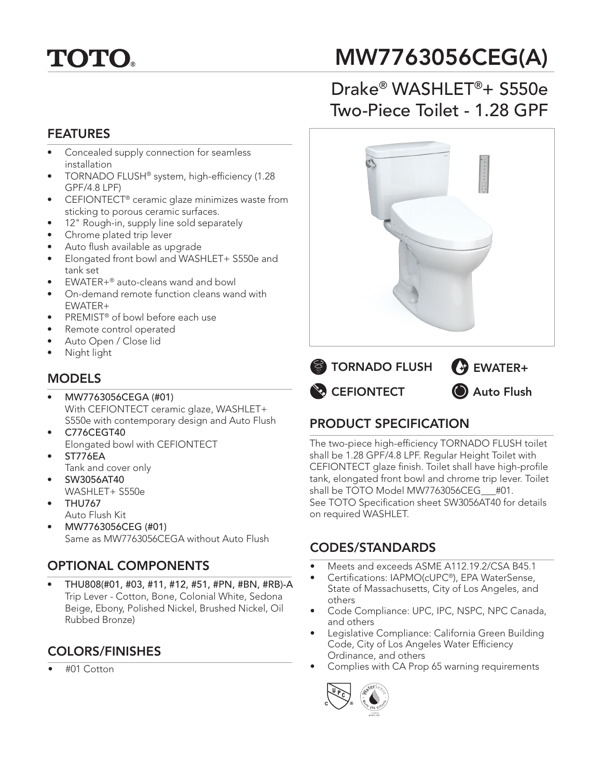# **TOTO.**

## MW7763056CEG(A)

## Drake® WASHLET®+ S550e Two-Piece Toilet - 1.28 GPF

#### FEATURES

- Concealed supply connection for seamless installation
- TORNADO FLUSH® system, high-efficiency (1.28 GPF/4.8 LPF)
- CEFIONTECT® ceramic glaze minimizes waste from sticking to porous ceramic surfaces.
- 12" Rough-in, supply line sold separately
- Chrome plated trip lever
- Auto flush available as upgrade
- Elongated front bowl and WASHLET+ S550e and tank set
- EWATER+® auto-cleans wand and bowl
- On-demand remote function cleans wand with EWATER+
- PREMIST<sup>®</sup> of bowl before each use
- Remote control operated
- Auto Open / Close lid
- Night light

### MODELS

- MW7763056CEGA (#01) With CEFIONTECT ceramic glaze, WASHLET+ S550e with contemporary design and Auto Flush
- C776CEGT40 Elongated bowl with CEFIONTECT
- ST776EA Tank and cover only
- SW3056AT40
- WASHLET+ S550e
- THU767 Auto Flush Kit
- MW7763056CEG (#01) Same as MW7763056CEGA without Auto Flush

## OPTIONAL COMPONENTS

• THU808(#01, #03, #11, #12, #51, #PN, #BN, #RB)-A Trip Lever - Cotton, Bone, Colonial White, Sedona Beige, Ebony, Polished Nickel, Brushed Nickel, Oil Rubbed Bronze)

## COLORS/FINISHES

• #01 Cotton





## PRODUCT SPECIFICATION

The two-piece high-efficiency TORNADO FLUSH toilet shall be 1.28 GPF/4.8 LPF. Regular Height Toilet with CEFIONTECT glaze finish. Toilet shall have high-profile tank, elongated front bowl and chrome trip lever. Toilet shall be TOTO Model MW7763056CEG\_\_\_#01. See TOTO Specification sheet SW3056AT40 for details on required WASHLET.

### CODES/STANDARDS

- Meets and exceeds ASME A112.19.2/CSA B45.1
- Certifications: IAPMO(cUPC®), EPA WaterSense, State of Massachusetts, City of Los Angeles, and others
- Code Compliance: UPC, IPC, NSPC, NPC Canada, and others
- Legislative Compliance: California Green Building Code, City of Los Angeles Water Efficiency Ordinance, and others
- Complies with CA Prop 65 warning requirements